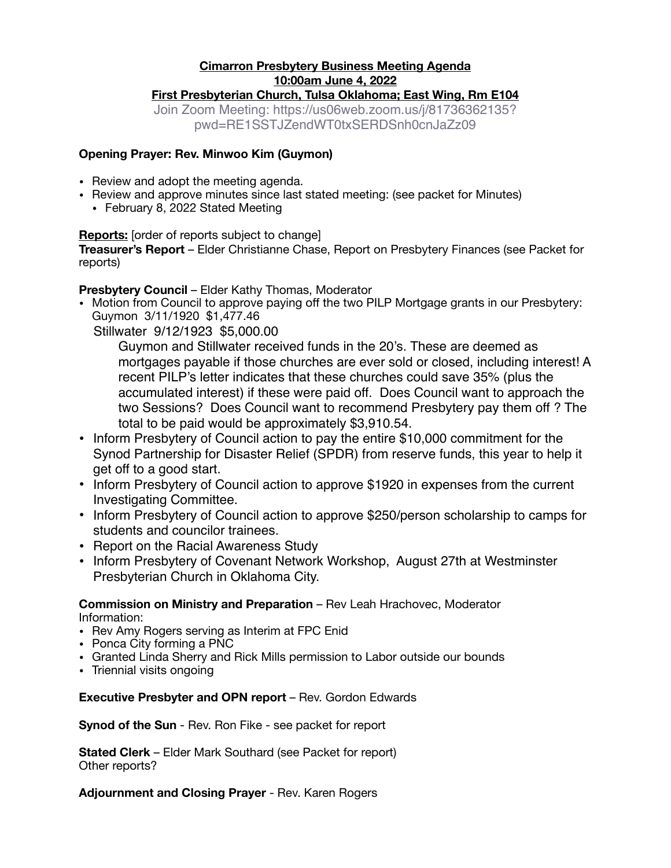### **Cimarron Presbytery Business Meeting Agenda 10:00am June 4, 2022 First Presbyterian Church, Tulsa Oklahoma; East Wing, Rm E104**

Join Zoom Meeting: https://us06web.zoom.us/j/81736362135? pwd=RE1SSTJZendWT0txSERDSnh0cnJaZz09

#### **Opening Prayer: Rev. Minwoo Kim (Guymon)**

- Review and adopt the meeting agenda.
- Review and approve minutes since last stated meeting: (see packet for Minutes)
	- February 8, 2022 Stated Meeting

### **Reports:** [order of reports subject to change]

**Treasurer's Report** – Elder Christianne Chase, Report on Presbytery Finances (see Packet for reports)

**Presbytery Council** – Elder Kathy Thomas, Moderator

• Motion from Council to approve paying off the two PILP Mortgage grants in our Presbytery: Guymon 3/11/1920 \$1,477.46

Stillwater 9/12/1923 \$5,000.00

Guymon and Stillwater received funds in the 20's. These are deemed as mortgages payable if those churches are ever sold or closed, including interest! A recent PILP's letter indicates that these churches could save 35% (plus the accumulated interest) if these were paid off. Does Council want to approach the two Sessions? Does Council want to recommend Presbytery pay them off ? The total to be paid would be approximately \$3,910.54.

- Inform Presbytery of Council action to pay the entire \$10,000 commitment for the Synod Partnership for Disaster Relief (SPDR) from reserve funds, this year to help it get off to a good start.
- Inform Presbytery of Council action to approve \$1920 in expenses from the current Investigating Committee.
- Inform Presbytery of Council action to approve \$250/person scholarship to camps for students and councilor trainees.
- Report on the Racial Awareness Study
- Inform Presbytery of Covenant Network Workshop, August 27th at Westminster Presbyterian Church in Oklahoma City.

**Commission on Ministry and Preparation** – Rev Leah Hrachovec, Moderator Information:

- Rev Amy Rogers serving as Interim at FPC Enid
- Ponca City forming a PNC
- Granted Linda Sherry and Rick Mills permission to Labor outside our bounds
- Triennial visits ongoing

**Executive Presbyter and OPN report** – Rev. Gordon Edwards

**Synod of the Sun** - Rev. Ron Fike - see packet for report

**Stated Clerk** – Elder Mark Southard (see Packet for report) Other reports?

**Adjournment and Closing Prayer** - Rev. Karen Rogers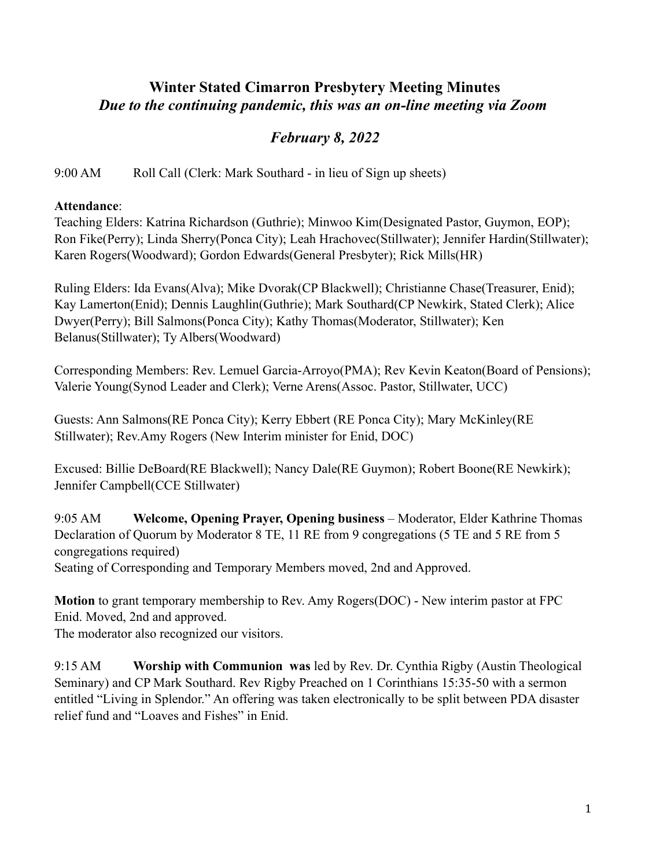# **Winter Stated Cimarron Presbytery Meeting Minutes** *Due to the continuing pandemic, this was an on-line meeting via Zoom*

# *February 8, 2022*

9:00 AM Roll Call (Clerk: Mark Southard - in lieu of Sign up sheets)

## **Attendance**:

Teaching Elders: Katrina Richardson (Guthrie); Minwoo Kim(Designated Pastor, Guymon, EOP); Ron Fike(Perry); Linda Sherry(Ponca City); Leah Hrachovec(Stillwater); Jennifer Hardin(Stillwater); Karen Rogers(Woodward); Gordon Edwards(General Presbyter); Rick Mills(HR)

Ruling Elders: Ida Evans(Alva); Mike Dvorak(CP Blackwell); Christianne Chase(Treasurer, Enid); Kay Lamerton(Enid); Dennis Laughlin(Guthrie); Mark Southard(CP Newkirk, Stated Clerk); Alice Dwyer(Perry); Bill Salmons(Ponca City); Kathy Thomas(Moderator, Stillwater); Ken Belanus(Stillwater); Ty Albers(Woodward)

Corresponding Members: Rev. Lemuel Garcia-Arroyo(PMA); Rev Kevin Keaton(Board of Pensions); Valerie Young(Synod Leader and Clerk); Verne Arens(Assoc. Pastor, Stillwater, UCC)

Guests: Ann Salmons(RE Ponca City); Kerry Ebbert (RE Ponca City); Mary McKinley(RE Stillwater); Rev.Amy Rogers (New Interim minister for Enid, DOC)

Excused: Billie DeBoard(RE Blackwell); Nancy Dale(RE Guymon); Robert Boone(RE Newkirk); Jennifer Campbell(CCE Stillwater)

9:05 AM **Welcome, Opening Prayer, Opening business** – Moderator, Elder Kathrine Thomas Declaration of Quorum by Moderator 8 TE, 11 RE from 9 congregations (5 TE and 5 RE from 5 congregations required)

Seating of Corresponding and Temporary Members moved, 2nd and Approved.

**Motion** to grant temporary membership to Rev. Amy Rogers(DOC) - New interim pastor at FPC Enid. Moved, 2nd and approved.

The moderator also recognized our visitors.

9:15 AM **Worship with Communion was** led by Rev. Dr. Cynthia Rigby (Austin Theological Seminary) and CP Mark Southard. Rev Rigby Preached on 1 Corinthians 15:35-50 with a sermon entitled "Living in Splendor." An offering was taken electronically to be split between PDA disaster relief fund and "Loaves and Fishes" in Enid.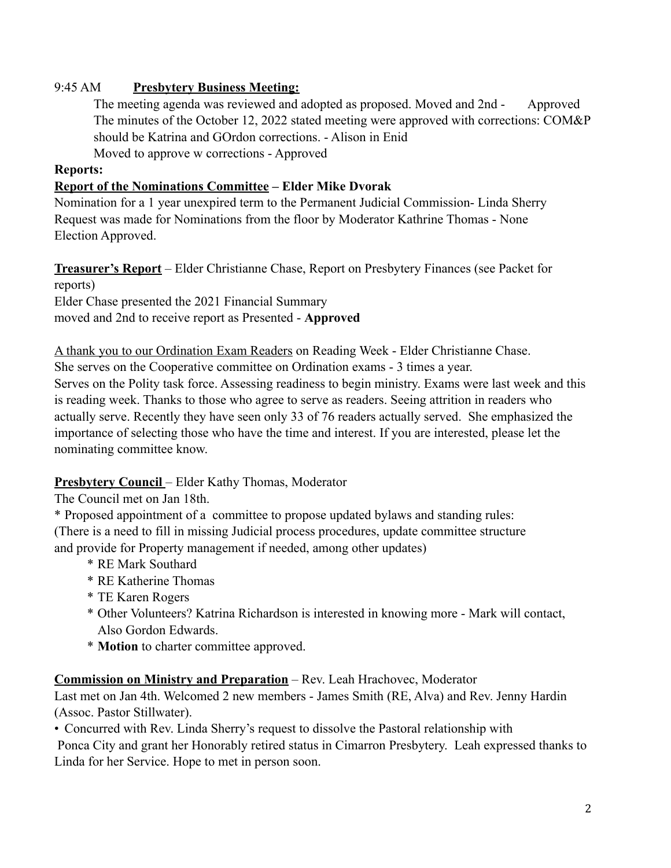## 9:45 AM **Presbytery Business Meeting:**

The meeting agenda was reviewed and adopted as proposed. Moved and 2nd - Approved The minutes of the October 12, 2022 stated meeting were approved with corrections: COM&P should be Katrina and GOrdon corrections. - Alison in Enid

Moved to approve w corrections - Approved

### **Reports:**

### **Report of the Nominations Committee – Elder Mike Dvorak**

Nomination for a 1 year unexpired term to the Permanent Judicial Commission- Linda Sherry Request was made for Nominations from the floor by Moderator Kathrine Thomas - None Election Approved.

**Treasurer's Report** – Elder Christianne Chase, Report on Presbytery Finances (see Packet for reports)

Elder Chase presented the 2021 Financial Summary moved and 2nd to receive report as Presented - **Approved**

A thank you to our Ordination Exam Readers on Reading Week - Elder Christianne Chase. She serves on the Cooperative committee on Ordination exams - 3 times a year. Serves on the Polity task force. Assessing readiness to begin ministry. Exams were last week and this is reading week. Thanks to those who agree to serve as readers. Seeing attrition in readers who actually serve. Recently they have seen only 33 of 76 readers actually served. She emphasized the importance of selecting those who have the time and interest. If you are interested, please let the nominating committee know.

### **Presbytery Council** – Elder Kathy Thomas, Moderator

The Council met on Jan 18th.

\* Proposed appointment of a committee to propose updated bylaws and standing rules: (There is a need to fill in missing Judicial process procedures, update committee structure and provide for Property management if needed, among other updates)

- \* RE Mark Southard
- \* RE Katherine Thomas
- \* TE Karen Rogers
- \* Other Volunteers? Katrina Richardson is interested in knowing more Mark will contact, Also Gordon Edwards.
- \* **Motion** to charter committee approved.

### **Commission on Ministry and Preparation** – Rev. Leah Hrachovec, Moderator

Last met on Jan 4th. Welcomed 2 new members - James Smith (RE, Alva) and Rev. Jenny Hardin (Assoc. Pastor Stillwater).

• Concurred with Rev. Linda Sherry's request to dissolve the Pastoral relationship with

 Ponca City and grant her Honorably retired status in Cimarron Presbytery. Leah expressed thanks to Linda for her Service. Hope to met in person soon.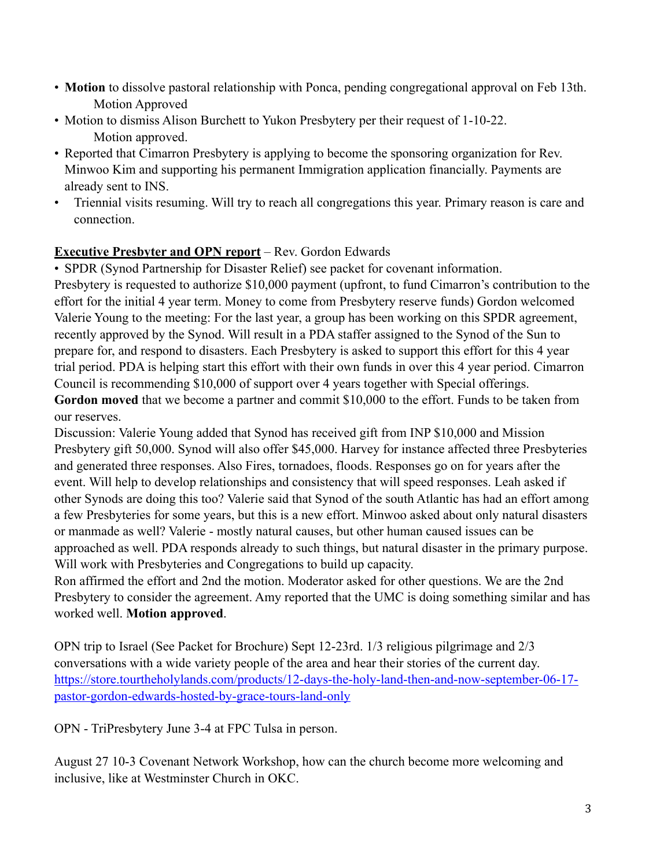- **Motion** to dissolve pastoral relationship with Ponca, pending congregational approval on Feb 13th. Motion Approved
- Motion to dismiss Alison Burchett to Yukon Presbytery per their request of 1-10-22. Motion approved.
- Reported that Cimarron Presbytery is applying to become the sponsoring organization for Rev. Minwoo Kim and supporting his permanent Immigration application financially. Payments are already sent to INS.
- Triennial visits resuming. Will try to reach all congregations this year. Primary reason is care and connection.

## **Executive Presbyter and OPN report** – Rev. Gordon Edwards

• SPDR (Synod Partnership for Disaster Relief) see packet for covenant information. Presbytery is requested to authorize \$10,000 payment (upfront, to fund Cimarron's contribution to the

effort for the initial 4 year term. Money to come from Presbytery reserve funds) Gordon welcomed Valerie Young to the meeting: For the last year, a group has been working on this SPDR agreement, recently approved by the Synod. Will result in a PDA staffer assigned to the Synod of the Sun to prepare for, and respond to disasters. Each Presbytery is asked to support this effort for this 4 year trial period. PDA is helping start this effort with their own funds in over this 4 year period. Cimarron Council is recommending \$10,000 of support over 4 years together with Special offerings. **Gordon moved** that we become a partner and commit \$10,000 to the effort. Funds to be taken from our reserves.

Discussion: Valerie Young added that Synod has received gift from INP \$10,000 and Mission Presbytery gift 50,000. Synod will also offer \$45,000. Harvey for instance affected three Presbyteries and generated three responses. Also Fires, tornadoes, floods. Responses go on for years after the event. Will help to develop relationships and consistency that will speed responses. Leah asked if other Synods are doing this too? Valerie said that Synod of the south Atlantic has had an effort among a few Presbyteries for some years, but this is a new effort. Minwoo asked about only natural disasters or manmade as well? Valerie - mostly natural causes, but other human caused issues can be approached as well. PDA responds already to such things, but natural disaster in the primary purpose. Will work with Presbyteries and Congregations to build up capacity.

Ron affirmed the effort and 2nd the motion. Moderator asked for other questions. We are the 2nd Presbytery to consider the agreement. Amy reported that the UMC is doing something similar and has worked well. **Motion approved**.

OPN trip to Israel (See Packet for Brochure) Sept 12-23rd. 1/3 religious pilgrimage and 2/3 conversations with a wide variety people of the area and hear their stories of the current day. https://store.tourtheholylands.com/products/12-days-the-holy-land-then-and-now-september-06-17 pastor-gordon-edwards-hosted-by-grace-tours-land-only

OPN - TriPresbytery June 3-4 at FPC Tulsa in person.

August 27 10-3 Covenant Network Workshop, how can the church become more welcoming and inclusive, like at Westminster Church in OKC.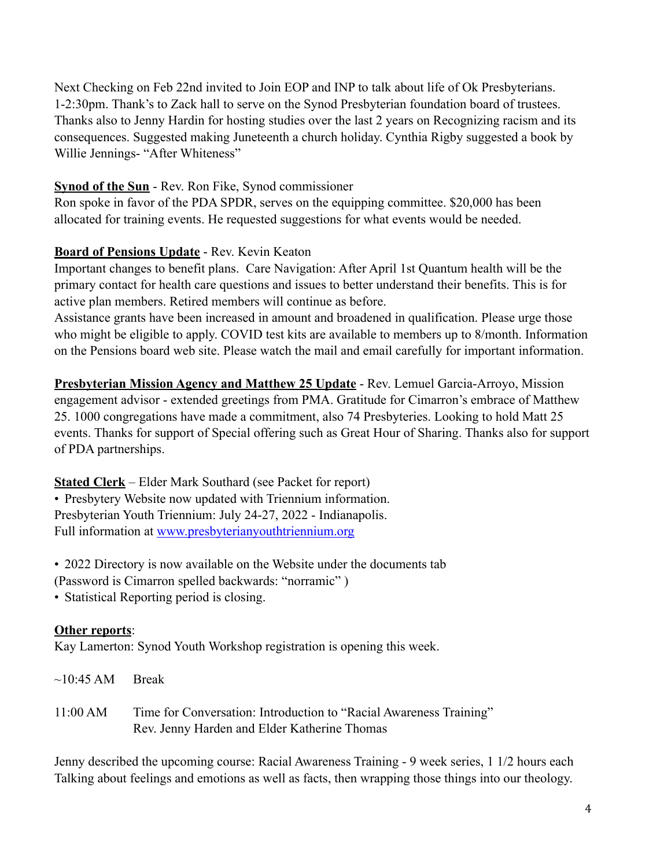Next Checking on Feb 22nd invited to Join EOP and INP to talk about life of Ok Presbyterians. 1-2:30pm. Thank's to Zack hall to serve on the Synod Presbyterian foundation board of trustees. Thanks also to Jenny Hardin for hosting studies over the last 2 years on Recognizing racism and its consequences. Suggested making Juneteenth a church holiday. Cynthia Rigby suggested a book by Willie Jennings- "After Whiteness"

## **Synod of the Sun** - Rev. Ron Fike, Synod commissioner

Ron spoke in favor of the PDA SPDR, serves on the equipping committee. \$20,000 has been allocated for training events. He requested suggestions for what events would be needed.

## **Board of Pensions Update** - Rev. Kevin Keaton

Important changes to benefit plans. Care Navigation: After April 1st Quantum health will be the primary contact for health care questions and issues to better understand their benefits. This is for active plan members. Retired members will continue as before.

Assistance grants have been increased in amount and broadened in qualification. Please urge those who might be eligible to apply. COVID test kits are available to members up to 8/month. Information on the Pensions board web site. Please watch the mail and email carefully for important information.

**Presbyterian Mission Agency and Matthew 25 Update** - Rev. Lemuel Garcia-Arroyo, Mission engagement advisor - extended greetings from PMA. Gratitude for Cimarron's embrace of Matthew 25. 1000 congregations have made a commitment, also 74 Presbyteries. Looking to hold Matt 25 events. Thanks for support of Special offering such as Great Hour of Sharing. Thanks also for support of PDA partnerships.

**Stated Clerk** – Elder Mark Southard (see Packet for report) • Presbytery Website now updated with Triennium information. Presbyterian Youth Triennium: July 24-27, 2022 - Indianapolis. Full information at www.presbyterianyouthtriennium.org

• 2022 Directory is now available on the Website under the documents tab (Password is Cimarron spelled backwards: "norramic" )

• Statistical Reporting period is closing.

## **Other reports**:

Kay Lamerton: Synod Youth Workshop registration is opening this week.

- $\sim$ 10:45 AM Break
- 11:00 AM Time for Conversation: Introduction to "Racial Awareness Training" Rev. Jenny Harden and Elder Katherine Thomas

Jenny described the upcoming course: Racial Awareness Training - 9 week series, 1 1/2 hours each Talking about feelings and emotions as well as facts, then wrapping those things into our theology.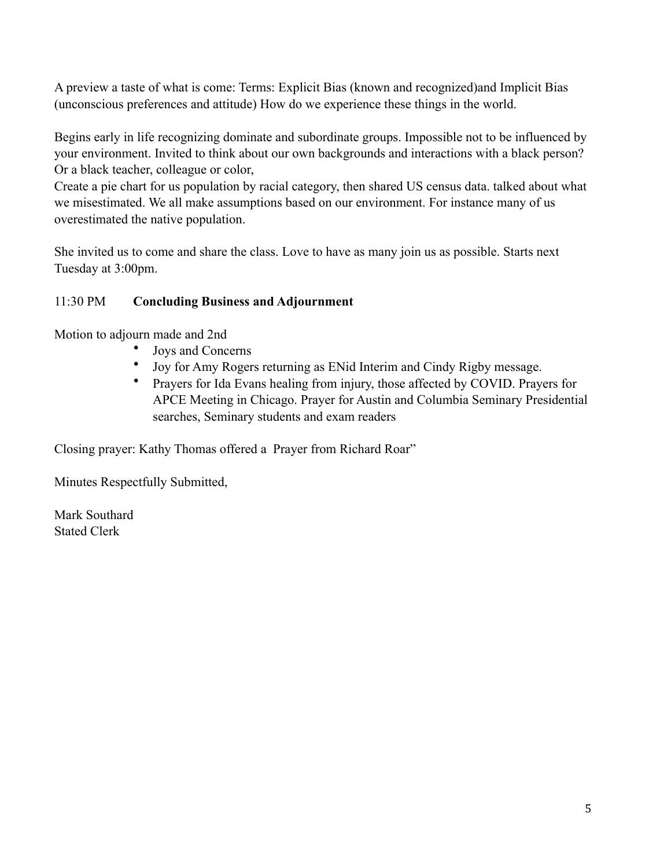A preview a taste of what is come: Terms: Explicit Bias (known and recognized)and Implicit Bias (unconscious preferences and attitude) How do we experience these things in the world.

Begins early in life recognizing dominate and subordinate groups. Impossible not to be influenced by your environment. Invited to think about our own backgrounds and interactions with a black person? Or a black teacher, colleague or color,

Create a pie chart for us population by racial category, then shared US census data. talked about what we misestimated. We all make assumptions based on our environment. For instance many of us overestimated the native population.

She invited us to come and share the class. Love to have as many join us as possible. Starts next Tuesday at 3:00pm.

## 11:30 PM **Concluding Business and Adjournment**

Motion to adjourn made and 2nd

- Joys and Concerns
- Joy for Amy Rogers returning as ENid Interim and Cindy Rigby message.
- Prayers for Ida Evans healing from injury, those affected by COVID. Prayers for APCE Meeting in Chicago. Prayer for Austin and Columbia Seminary Presidential searches, Seminary students and exam readers

Closing prayer: Kathy Thomas offered a Prayer from Richard Roar"

Minutes Respectfully Submitted,

Mark Southard Stated Clerk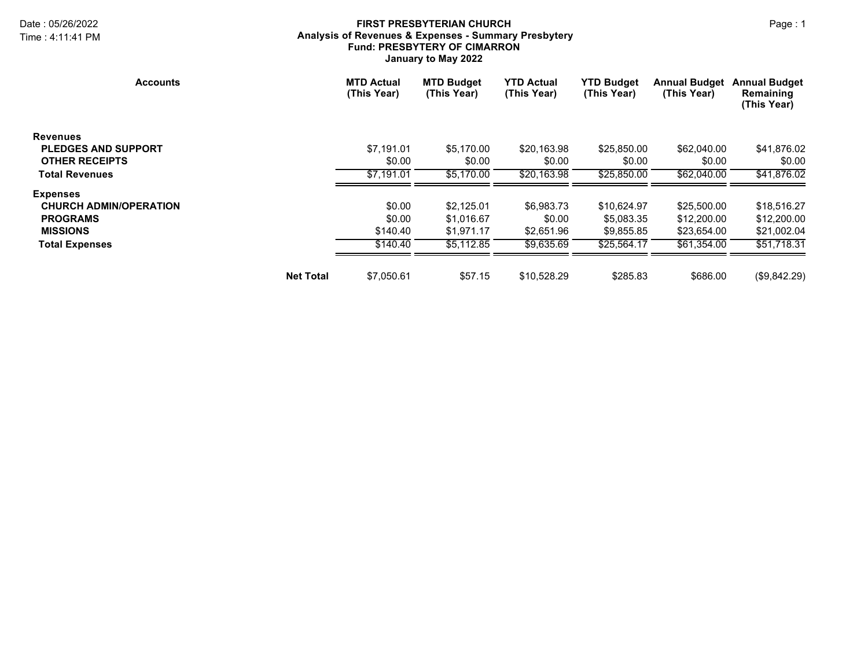#### Date : 05/26/2022 Page : 1 **FIRST PRESBYTERIAN CHURCH Analysis of Revenues & Expenses - Summary Presbytery Fund: PRESBYTERY OF CIMARRON January to May 2022**

| <b>Accounts</b>               |                  | <b>MTD Actual</b><br>(This Year) | <b>MTD Budget</b><br>(This Year) | <b>YTD Actual</b><br>(This Year) | <b>YTD Budget</b><br>(This Year) | <b>Annual Budget</b><br>(This Year) | <b>Annual Budget</b><br>Remaining<br>(This Year) |
|-------------------------------|------------------|----------------------------------|----------------------------------|----------------------------------|----------------------------------|-------------------------------------|--------------------------------------------------|
| <b>Revenues</b>               |                  |                                  |                                  |                                  |                                  |                                     |                                                  |
| <b>PLEDGES AND SUPPORT</b>    |                  | \$7,191.01                       | \$5,170.00                       | \$20,163.98                      | \$25,850.00                      | \$62,040.00                         | \$41,876.02                                      |
| <b>OTHER RECEIPTS</b>         |                  | \$0.00                           | \$0.00                           | \$0.00                           | \$0.00                           | \$0.00                              | \$0.00                                           |
| <b>Total Revenues</b>         |                  | \$7.191.01                       | \$5.170.00                       | \$20.163.98                      | \$25,850.00                      | \$62,040.00                         | \$41,876.02                                      |
| <b>Expenses</b>               |                  |                                  |                                  |                                  |                                  |                                     |                                                  |
| <b>CHURCH ADMIN/OPERATION</b> |                  | \$0.00                           | \$2,125.01                       | \$6,983.73                       | \$10,624.97                      | \$25,500.00                         | \$18,516.27                                      |
| <b>PROGRAMS</b>               |                  | \$0.00                           | \$1,016.67                       | \$0.00                           | \$5,083.35                       | \$12,200.00                         | \$12,200.00                                      |
| <b>MISSIONS</b>               |                  | \$140.40                         | \$1,971.17                       | \$2,651.96                       | \$9,855.85                       | \$23,654.00                         | \$21,002.04                                      |
| <b>Total Expenses</b>         |                  | \$140.40                         | \$5.112.85                       | \$9,635.69                       | \$25,564.17                      | \$61,354.00                         | \$51,718.31                                      |
|                               | <b>Net Total</b> | \$7,050.61                       | \$57.15                          | \$10,528.29                      | \$285.83                         | \$686.00                            | (\$9,842.29)                                     |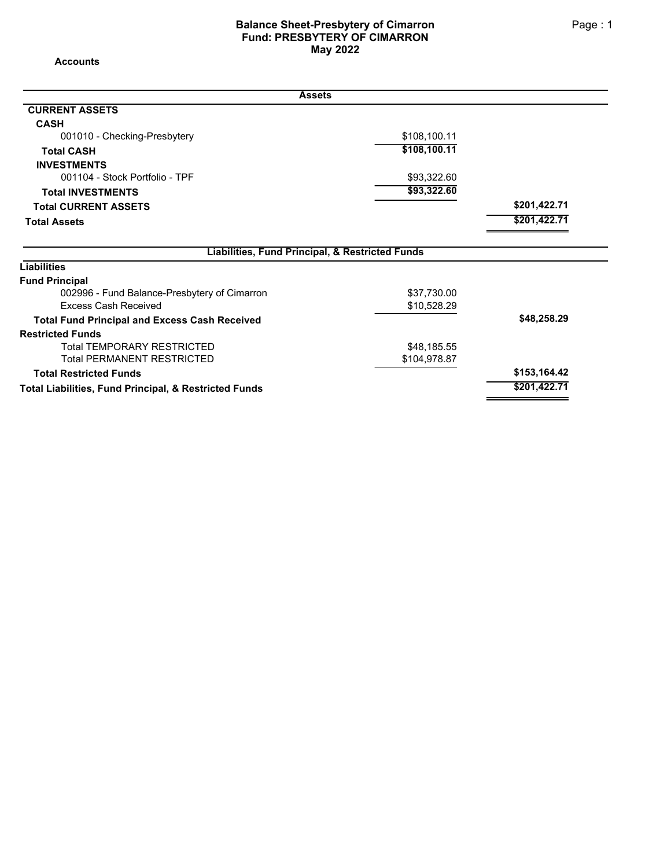#### **Balance Sheet-Presbytery of Cimarron Page : 1 Page : 1 Fund: PRESBYTERY OF CIMARRON May 2022**

**Accounts**

| <b>Assets</b>                                                         |              |              |
|-----------------------------------------------------------------------|--------------|--------------|
| <b>CURRENT ASSETS</b>                                                 |              |              |
| <b>CASH</b>                                                           |              |              |
| 001010 - Checking-Presbytery                                          | \$108,100.11 |              |
| <b>Total CASH</b>                                                     | \$108,100.11 |              |
| <b>INVESTMENTS</b>                                                    |              |              |
| 001104 - Stock Portfolio - TPF                                        | \$93,322.60  |              |
| <b>Total INVESTMENTS</b>                                              | \$93,322.60  |              |
| <b>Total CURRENT ASSETS</b>                                           |              | \$201,422.71 |
| <b>Total Assets</b>                                                   |              | \$201,422.71 |
| Liabilities, Fund Principal, & Restricted Funds<br><b>Liabilities</b> |              |              |
| <b>Fund Principal</b>                                                 |              |              |
| 002996 - Fund Balance-Presbytery of Cimarron                          | \$37,730.00  |              |
| <b>Excess Cash Received</b>                                           | \$10,528.29  |              |
| <b>Total Fund Principal and Excess Cash Received</b>                  |              | \$48,258.29  |
| <b>Restricted Funds</b>                                               |              |              |
| <b>Total TEMPORARY RESTRICTED</b>                                     | \$48,185.55  |              |
| <b>Total PERMANENT RESTRICTED</b>                                     | \$104,978.87 |              |
| <b>Total Restricted Funds</b>                                         |              | \$153,164.42 |
| Total Liabilities, Fund Principal, & Restricted Funds                 |              | \$201,422.71 |
|                                                                       |              |              |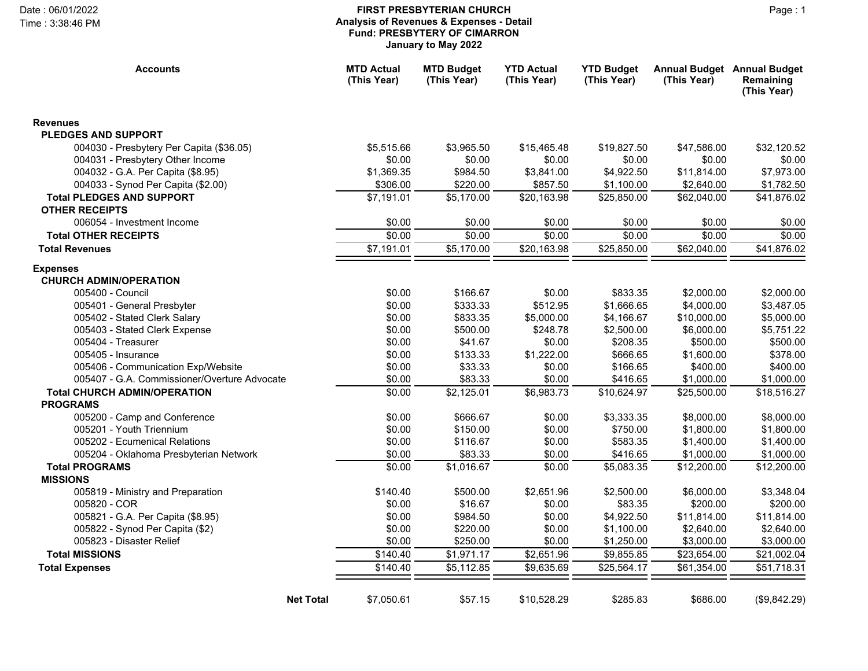#### Date : 06/01/2022 Page : 1 **FIRST PRESBYTERIAN CHURCH Analysis of Revenues & Expenses - Detail Fund: PRESBYTERY OF CIMARRON January to May 2022**

Time : 3:38:46 PM

| <b>Accounts</b>                                  | <b>MTD Actual</b><br>(This Year) | <b>MTD Budget</b><br>(This Year) | <b>YTD Actual</b><br>(This Year) | <b>YTD Budget</b><br>(This Year) | (This Year)            | <b>Annual Budget Annual Budget</b><br>Remaining<br>(This Year) |
|--------------------------------------------------|----------------------------------|----------------------------------|----------------------------------|----------------------------------|------------------------|----------------------------------------------------------------|
| <b>Revenues</b>                                  |                                  |                                  |                                  |                                  |                        |                                                                |
| <b>PLEDGES AND SUPPORT</b>                       |                                  |                                  |                                  |                                  |                        |                                                                |
| 004030 - Presbytery Per Capita (\$36.05)         | \$5,515.66                       | \$3,965.50                       | \$15,465.48                      | \$19,827.50                      | \$47,586.00            | \$32,120.52                                                    |
| 004031 - Presbytery Other Income                 | \$0.00                           | \$0.00                           | \$0.00                           | \$0.00                           | \$0.00                 | \$0.00                                                         |
| 004032 - G.A. Per Capita (\$8.95)                | \$1,369.35                       | \$984.50                         | \$3,841.00                       | \$4,922.50                       | \$11,814.00            | \$7,973.00                                                     |
| 004033 - Synod Per Capita (\$2.00)               | \$306.00                         | \$220.00                         | \$857.50                         | \$1,100.00                       | \$2,640.00             | \$1,782.50                                                     |
| <b>Total PLEDGES AND SUPPORT</b>                 | \$7,191.01                       | \$5,170.00                       | $$20,163.\overline{98}$          | \$25,850.00                      | \$62,040.00            | \$41,876.02                                                    |
| <b>OTHER RECEIPTS</b>                            |                                  |                                  |                                  |                                  |                        |                                                                |
| 006054 - Investment Income                       | \$0.00                           | \$0.00                           | \$0.00                           | \$0.00                           | \$0.00                 | \$0.00                                                         |
| <b>Total OTHER RECEIPTS</b>                      | \$0.00                           | \$0.00                           | \$0.00                           | \$0.00                           | \$0.00                 | \$0.00                                                         |
| <b>Total Revenues</b>                            | \$7,191.01                       | \$5,170.00                       | \$20,163.98                      | \$25,850.00                      | \$62,040.00            | \$41,876.02                                                    |
| <b>Expenses</b><br><b>CHURCH ADMIN/OPERATION</b> |                                  |                                  |                                  |                                  |                        |                                                                |
| 005400 - Council                                 | \$0.00                           | \$166.67                         | \$0.00                           | \$833.35                         | \$2,000.00             | \$2,000.00                                                     |
| 005401 - General Presbyter                       | \$0.00                           | \$333.33                         | \$512.95                         | \$1,666.65                       | \$4,000.00             | \$3,487.05                                                     |
| 005402 - Stated Clerk Salary                     | \$0.00                           | \$833.35                         | \$5,000.00                       | \$4,166.67                       | \$10,000.00            | \$5,000.00                                                     |
| 005403 - Stated Clerk Expense                    | \$0.00                           | \$500.00                         | \$248.78                         | \$2,500.00                       | \$6,000.00             | \$5,751.22                                                     |
| 005404 - Treasurer                               | \$0.00                           | \$41.67                          | \$0.00                           | \$208.35                         | \$500.00               | \$500.00                                                       |
| 005405 - Insurance                               | \$0.00                           | \$133.33                         | \$1,222.00                       | \$666.65                         | \$1,600.00             | \$378.00                                                       |
| 005406 - Communication Exp/Website               | \$0.00                           | \$33.33                          | \$0.00                           | \$166.65                         | \$400.00               | \$400.00                                                       |
| 005407 - G.A. Commissioner/Overture Advocate     | \$0.00                           | \$83.33                          | \$0.00                           | \$416.65                         | \$1,000.00             | \$1,000.00                                                     |
| <b>Total CHURCH ADMIN/OPERATION</b>              | \$0.00                           | \$2,125.01                       | \$6,983.73                       | \$10,624.97                      | \$25,500.00            | \$18,516.27                                                    |
| <b>PROGRAMS</b>                                  |                                  |                                  |                                  |                                  |                        |                                                                |
| 005200 - Camp and Conference                     | \$0.00                           | \$666.67                         | \$0.00                           | \$3,333.35                       | \$8,000.00             | \$8,000.00                                                     |
| 005201 - Youth Triennium                         | \$0.00                           | \$150.00                         | \$0.00                           | \$750.00                         | \$1,800.00             | \$1,800.00                                                     |
| 005202 - Ecumenical Relations                    | \$0.00                           | \$116.67                         | \$0.00                           | \$583.35                         | \$1,400.00             | \$1,400.00                                                     |
| 005204 - Oklahoma Presbyterian Network           | \$0.00                           | \$83.33                          | \$0.00                           | \$416.65                         | \$1,000.00             | \$1,000.00                                                     |
| <b>Total PROGRAMS</b><br><b>MISSIONS</b>         | \$0.00                           | \$1,016.67                       | \$0.00                           | \$5,083.35                       | \$12,200.00            | \$12,200.00                                                    |
| 005819 - Ministry and Preparation                | \$140.40                         | \$500.00                         | \$2,651.96                       | \$2,500.00                       |                        |                                                                |
| 005820 - COR                                     | \$0.00                           | \$16.67                          | \$0.00                           | \$83.35                          | \$6,000.00<br>\$200.00 | \$3,348.04<br>\$200.00                                         |
| 005821 - G.A. Per Capita (\$8.95)                | \$0.00                           | \$984.50                         | \$0.00                           | \$4,922.50                       | \$11,814.00            | \$11,814.00                                                    |
| 005822 - Synod Per Capita (\$2)                  | \$0.00                           | \$220.00                         | \$0.00                           | \$1,100.00                       | \$2,640.00             | \$2,640.00                                                     |
| 005823 - Disaster Relief                         | \$0.00                           | \$250.00                         | \$0.00                           | \$1,250.00                       | \$3,000.00             | \$3,000.00                                                     |
| <b>Total MISSIONS</b>                            | \$140.40                         | \$1,971.17                       | \$2,651.96                       | \$9,855.85                       | \$23,654.00            | \$21,002.04                                                    |
| <b>Total Expenses</b>                            | \$140.40                         | \$5,112.85                       | \$9,635.69                       | \$25,564.17                      | \$61,354.00            | \$51,718.31                                                    |
|                                                  |                                  |                                  |                                  |                                  |                        |                                                                |
| <b>Net Total</b>                                 | \$7,050.61                       | \$57.15                          | \$10,528.29                      | \$285.83                         | \$686.00               | (\$9,842.29)                                                   |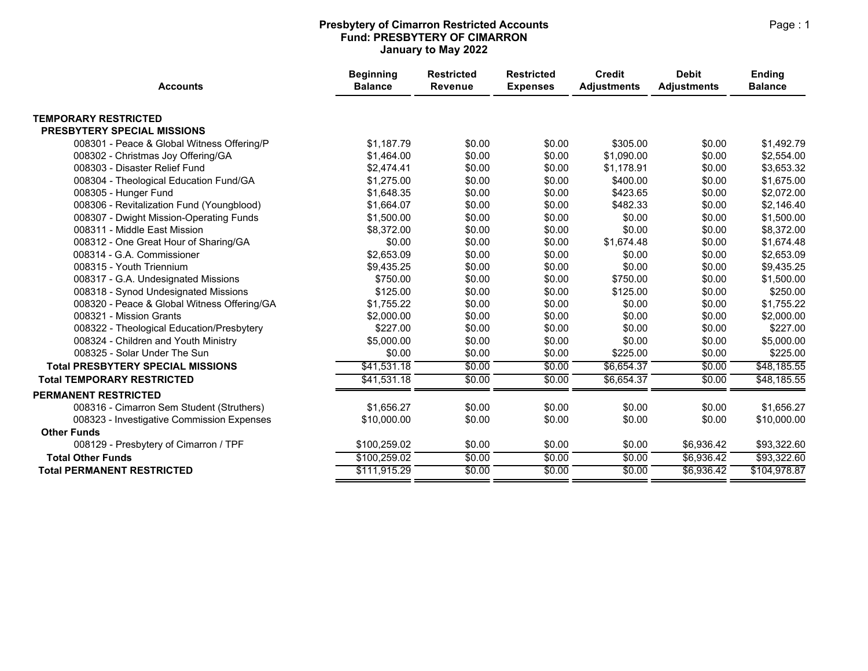#### **Presbytery of Cimarron Restricted Accounts Accounts Accounts Accounts Accounts Accounts Accounts Accounts Accounts Fund: PRESBYTERY OF CIMARRON January to May 2022**

| <b>Accounts</b>                             | <b>Beginning</b><br><b>Balance</b> | <b>Restricted</b><br>Revenue | <b>Restricted</b><br><b>Expenses</b> | <b>Credit</b><br><b>Adjustments</b> | <b>Debit</b><br><b>Adjustments</b> | <b>Ending</b><br><b>Balance</b> |
|---------------------------------------------|------------------------------------|------------------------------|--------------------------------------|-------------------------------------|------------------------------------|---------------------------------|
| <b>TEMPORARY RESTRICTED</b>                 |                                    |                              |                                      |                                     |                                    |                                 |
| PRESBYTERY SPECIAL MISSIONS                 |                                    |                              |                                      |                                     |                                    |                                 |
| 008301 - Peace & Global Witness Offering/P  | \$1,187.79                         | \$0.00                       | \$0.00                               | \$305.00                            | \$0.00                             | \$1,492.79                      |
| 008302 - Christmas Joy Offering/GA          | \$1,464.00                         | \$0.00                       | \$0.00                               | \$1,090.00                          | \$0.00                             | \$2,554.00                      |
| 008303 - Disaster Relief Fund               | \$2,474.41                         | \$0.00                       | \$0.00                               | \$1,178.91                          | \$0.00                             | \$3,653.32                      |
| 008304 - Theological Education Fund/GA      | \$1,275.00                         | \$0.00                       | \$0.00                               | \$400.00                            | \$0.00                             | \$1,675.00                      |
| 008305 - Hunger Fund                        | \$1,648.35                         | \$0.00                       | \$0.00                               | \$423.65                            | \$0.00                             | \$2,072.00                      |
| 008306 - Revitalization Fund (Youngblood)   | \$1,664.07                         | \$0.00                       | \$0.00                               | \$482.33                            | \$0.00                             | \$2,146.40                      |
| 008307 - Dwight Mission-Operating Funds     | \$1,500.00                         | \$0.00                       | \$0.00                               | \$0.00                              | \$0.00                             | \$1,500.00                      |
| 008311 - Middle East Mission                | \$8,372.00                         | \$0.00                       | \$0.00                               | \$0.00                              | \$0.00                             | \$8,372.00                      |
| 008312 - One Great Hour of Sharing/GA       | \$0.00                             | \$0.00                       | \$0.00                               | \$1,674.48                          | \$0.00                             | \$1,674.48                      |
| 008314 - G.A. Commissioner                  | \$2,653.09                         | \$0.00                       | \$0.00                               | \$0.00                              | \$0.00                             | \$2,653.09                      |
| 008315 - Youth Triennium                    | \$9,435.25                         | \$0.00                       | \$0.00                               | \$0.00                              | \$0.00                             | \$9,435.25                      |
| 008317 - G.A. Undesignated Missions         | \$750.00                           | \$0.00                       | \$0.00                               | \$750.00                            | \$0.00                             | \$1,500.00                      |
| 008318 - Synod Undesignated Missions        | \$125.00                           | \$0.00                       | \$0.00                               | \$125.00                            | \$0.00                             | \$250.00                        |
| 008320 - Peace & Global Witness Offering/GA | \$1,755.22                         | \$0.00                       | \$0.00                               | \$0.00                              | \$0.00                             | \$1,755.22                      |
| 008321 - Mission Grants                     | \$2,000.00                         | \$0.00                       | \$0.00                               | \$0.00                              | \$0.00                             | \$2,000.00                      |
| 008322 - Theological Education/Presbytery   | \$227.00                           | \$0.00                       | \$0.00                               | \$0.00                              | \$0.00                             | \$227.00                        |
| 008324 - Children and Youth Ministry        | \$5,000.00                         | \$0.00                       | \$0.00                               | \$0.00                              | \$0.00                             | \$5,000.00                      |
| 008325 - Solar Under The Sun                | \$0.00                             | \$0.00                       | \$0.00                               | \$225.00                            | \$0.00                             | \$225.00                        |
| <b>Total PRESBYTERY SPECIAL MISSIONS</b>    | \$41,531.18                        | \$0.00                       | \$0.00                               | \$6,654.37                          | \$0.00                             | \$48,185.55                     |
| <b>Total TEMPORARY RESTRICTED</b>           | \$41,531.18                        | \$0.00                       | \$0.00                               | \$6,654.37                          | \$0.00                             | \$48,185.55                     |
| <b>PERMANENT RESTRICTED</b>                 |                                    |                              |                                      |                                     |                                    |                                 |
| 008316 - Cimarron Sem Student (Struthers)   | \$1,656.27                         | \$0.00                       | \$0.00                               | \$0.00                              | \$0.00                             | \$1,656.27                      |
| 008323 - Investigative Commission Expenses  | \$10,000.00                        | \$0.00                       | \$0.00                               | \$0.00                              | \$0.00                             | \$10,000.00                     |
| <b>Other Funds</b>                          |                                    |                              |                                      |                                     |                                    |                                 |
| 008129 - Presbytery of Cimarron / TPF       | \$100,259.02                       | \$0.00                       | \$0.00                               | \$0.00                              | \$6,936.42                         | \$93,322.60                     |
| <b>Total Other Funds</b>                    | \$100,259.02                       | \$0.00                       | \$0.00                               | \$0.00                              | \$6,936.42                         | \$93,322.60                     |
| <b>Total PERMANENT RESTRICTED</b>           | \$111,915.29                       | \$0.00                       | \$0.00                               | \$0.00                              | \$6,936.42                         | \$104,978.87                    |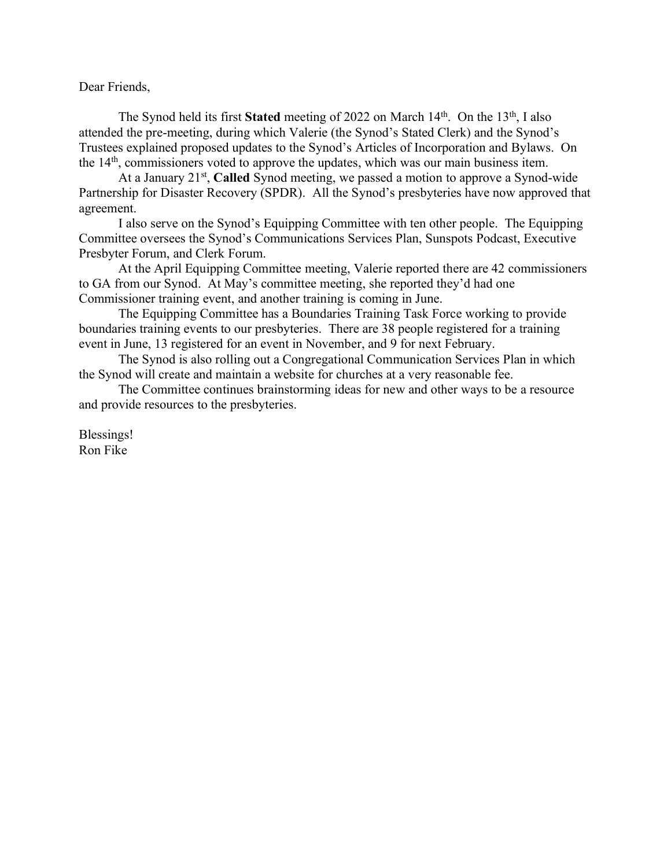Dear Friends,

The Synod held its first **Stated** meeting of 2022 on March 14<sup>th</sup>. On the 13<sup>th</sup>, I also attended the pre-meeting, during which Valerie (the Synod's Stated Clerk) and the Synod's Trustees explained proposed updates to the Synod's Articles of Incorporation and Bylaws. On the 14th, commissioners voted to approve the updates, which was our main business item.

At a January 21st, **Called** Synod meeting, we passed a motion to approve a Synod-wide Partnership for Disaster Recovery (SPDR). All the Synod's presbyteries have now approved that agreement.

I also serve on the Synod's Equipping Committee with ten other people. The Equipping Committee oversees the Synod's Communications Services Plan, Sunspots Podcast, Executive Presbyter Forum, and Clerk Forum.

At the April Equipping Committee meeting, Valerie reported there are 42 commissioners to GA from our Synod. At May's committee meeting, she reported they'd had one Commissioner training event, and another training is coming in June.

The Equipping Committee has a Boundaries Training Task Force working to provide boundaries training events to our presbyteries. There are 38 people registered for a training event in June, 13 registered for an event in November, and 9 for next February.

The Synod is also rolling out a Congregational Communication Services Plan in which the Synod will create and maintain a website for churches at a very reasonable fee.

The Committee continues brainstorming ideas for new and other ways to be a resource and provide resources to the presbyteries.

Blessings! Ron Fike